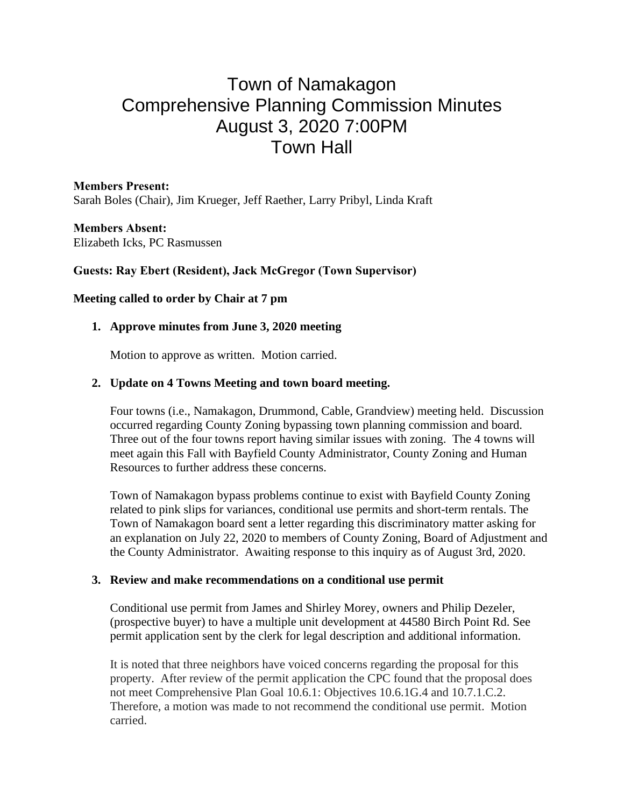# Town of Namakagon Comprehensive Planning Commission Minutes August 3, 2020 7:00PM Town Hall

**Members Present:** Sarah Boles (Chair), Jim Krueger, Jeff Raether, Larry Pribyl, Linda Kraft

**Members Absent:** Elizabeth Icks, PC Rasmussen

#### **Guests: Ray Ebert (Resident), Jack McGregor (Town Supervisor)**

#### **Meeting called to order by Chair at 7 pm**

## **1. Approve minutes from June 3, 2020 meeting**

Motion to approve as written. Motion carried.

## **2. Update on 4 Towns Meeting and town board meeting.**

Four towns (i.e., Namakagon, Drummond, Cable, Grandview) meeting held. Discussion occurred regarding County Zoning bypassing town planning commission and board. Three out of the four towns report having similar issues with zoning. The 4 towns will meet again this Fall with Bayfield County Administrator, County Zoning and Human Resources to further address these concerns.

Town of Namakagon bypass problems continue to exist with Bayfield County Zoning related to pink slips for variances, conditional use permits and short-term rentals. The Town of Namakagon board sent a letter regarding this discriminatory matter asking for an explanation on July 22, 2020 to members of County Zoning, Board of Adjustment and the County Administrator. Awaiting response to this inquiry as of August 3rd, 2020.

#### **3. Review and make recommendations on a conditional use permit**

Conditional use permit from James and Shirley Morey, owners and Philip Dezeler, (prospective buyer) to have a multiple unit development at 44580 Birch Point Rd. See permit application sent by the clerk for legal description and additional information.

It is noted that three neighbors have voiced concerns regarding the proposal for this property. After review of the permit application the CPC found that the proposal does not meet Comprehensive Plan Goal 10.6.1: Objectives 10.6.1G.4 and 10.7.1.C.2. Therefore, a motion was made to not recommend the conditional use permit. Motion carried.